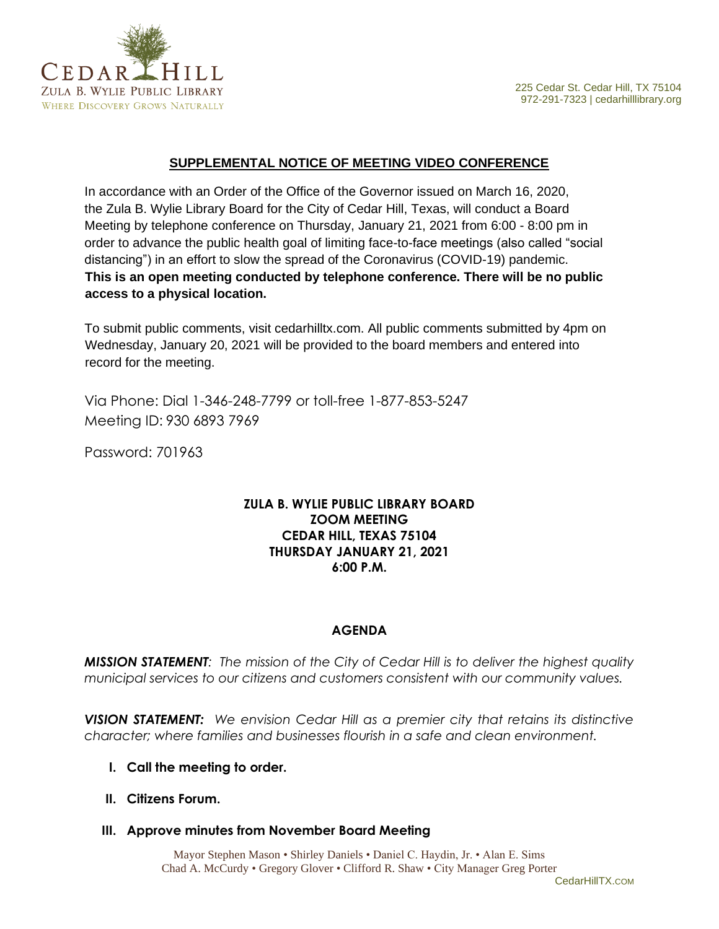

## **SUPPLEMENTAL NOTICE OF MEETING VIDEO CONFERENCE**

In accordance with an Order of the Office of the Governor issued on March 16, 2020, the Zula B. Wylie Library Board for the City of Cedar Hill, Texas, will conduct a Board Meeting by telephone conference on Thursday, January 21, 2021 from 6:00 - 8:00 pm in order to advance the public health goal of limiting face-to-face meetings (also called "social distancing") in an effort to slow the spread of the Coronavirus (COVID-19) pandemic. **This is an open meeting conducted by telephone conference. There will be no public access to a physical location.**

To submit public comments, visit cedarhilltx.com. All public comments submitted by 4pm on Wednesday, January 20, 2021 will be provided to the board members and entered into record for the meeting.

Via Phone: Dial 1-346-248-7799 or toll-free 1-877-853-5247 Meeting ID: 930 6893 7969

Password: 701963

# **ZULA B. WYLIE PUBLIC LIBRARY BOARD ZOOM MEETING CEDAR HILL, TEXAS 75104 THURSDAY JANUARY 21, 2021 6:00 P.M.**

## **AGENDA**

*MISSION STATEMENT: The mission of the City of Cedar Hill is to deliver the highest quality municipal services to our citizens and customers consistent with our community values.*

*VISION STATEMENT: We envision Cedar Hill as a premier city that retains its distinctive character; where families and businesses flourish in a safe and clean environment.*

- **I. Call the meeting to order.**
- **II. Citizens Forum.**
- **III. Approve minutes from November Board Meeting**

Mayor Stephen Mason • Shirley Daniels • Daniel C. Haydin, Jr. • Alan E. Sims Chad A. McCurdy • Gregory Glover • Clifford R. Shaw • City Manager Greg Porter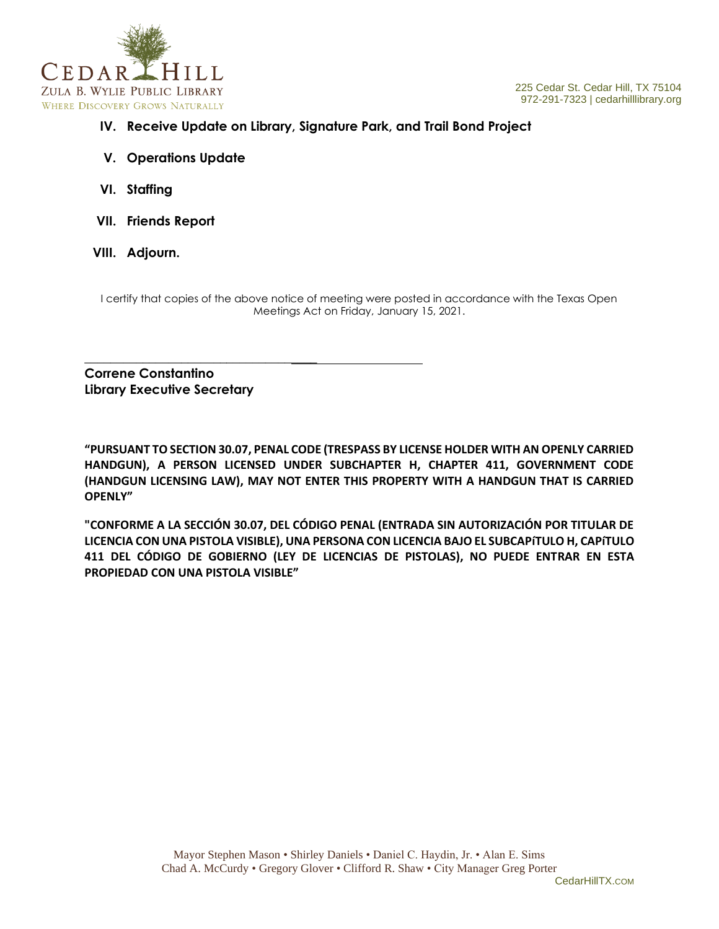

- **IV. Receive Update on Library, Signature Park, and Trail Bond Project**
- **V. Operations Update**
- **VI. Staffing**
- **VII. Friends Report**
- **VIII. Adjourn.**

I certify that copies of the above notice of meeting were posted in accordance with the Texas Open Meetings Act on Friday, January 15, 2021.

**Correne Constantino Library Executive Secretary**

\_\_\_\_\_\_\_\_\_\_\_\_\_\_\_\_\_\_\_\_\_\_\_\_\_\_\_\_\_\_\_\_\_\_\_\_

**"PURSUANT TO SECTION 30.07, PENAL CODE (TRESPASS BY LICENSE HOLDER WITH AN OPENLY CARRIED HANDGUN), A PERSON LICENSED UNDER SUBCHAPTER H, CHAPTER 411, GOVERNMENT CODE (HANDGUN LICENSING LAW), MAY NOT ENTER THIS PROPERTY WITH A HANDGUN THAT IS CARRIED OPENLY"** 

**"CONFORME A LA SECCIÓN 30.07, DEL CÓDIGO PENAL (ENTRADA SIN AUTORIZACIÓN POR TITULAR DE LICENCIA CON UNA PISTOLA VISIBLE), UNA PERSONA CON LICENCIA BAJO EL SUBCAPíTULO H, CAPíTULO 411 DEL CÓDIGO DE GOBIERNO (LEY DE LICENCIAS DE PISTOLAS), NO PUEDE ENTRAR EN ESTA PROPIEDAD CON UNA PISTOLA VISIBLE"**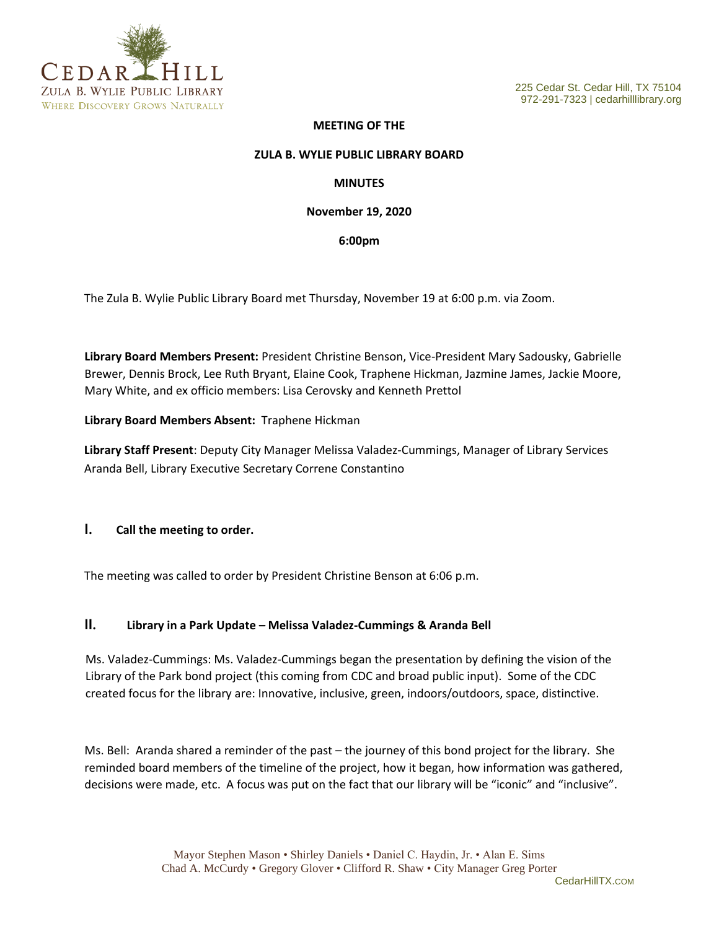

#### **MEETING OF THE**

#### **ZULA B. WYLIE PUBLIC LIBRARY BOARD**

#### **MINUTES**

#### **November 19, 2020**

#### **6:00pm**

The Zula B. Wylie Public Library Board met Thursday, November 19 at 6:00 p.m. via Zoom.

**Library Board Members Present:** President Christine Benson, Vice-President Mary Sadousky, Gabrielle Brewer, Dennis Brock, Lee Ruth Bryant, Elaine Cook, Traphene Hickman, Jazmine James, Jackie Moore, Mary White, and ex officio members: Lisa Cerovsky and Kenneth Prettol

#### **Library Board Members Absent:** Traphene Hickman

**Library Staff Present**: Deputy City Manager Melissa Valadez-Cummings, Manager of Library Services Aranda Bell, Library Executive Secretary Correne Constantino

#### **I. Call the meeting to order.**

The meeting was called to order by President Christine Benson at 6:06 p.m.

#### **II. Library in a Park Update – Melissa Valadez-Cummings & Aranda Bell**

Ms. Valadez-Cummings: Ms. Valadez-Cummings began the presentation by defining the vision of the Library of the Park bond project (this coming from CDC and broad public input). Some of the CDC created focus for the library are: Innovative, inclusive, green, indoors/outdoors, space, distinctive.

Ms. Bell: Aranda shared a reminder of the past – the journey of this bond project for the library. She reminded board members of the timeline of the project, how it began, how information was gathered, decisions were made, etc. A focus was put on the fact that our library will be "iconic" and "inclusive".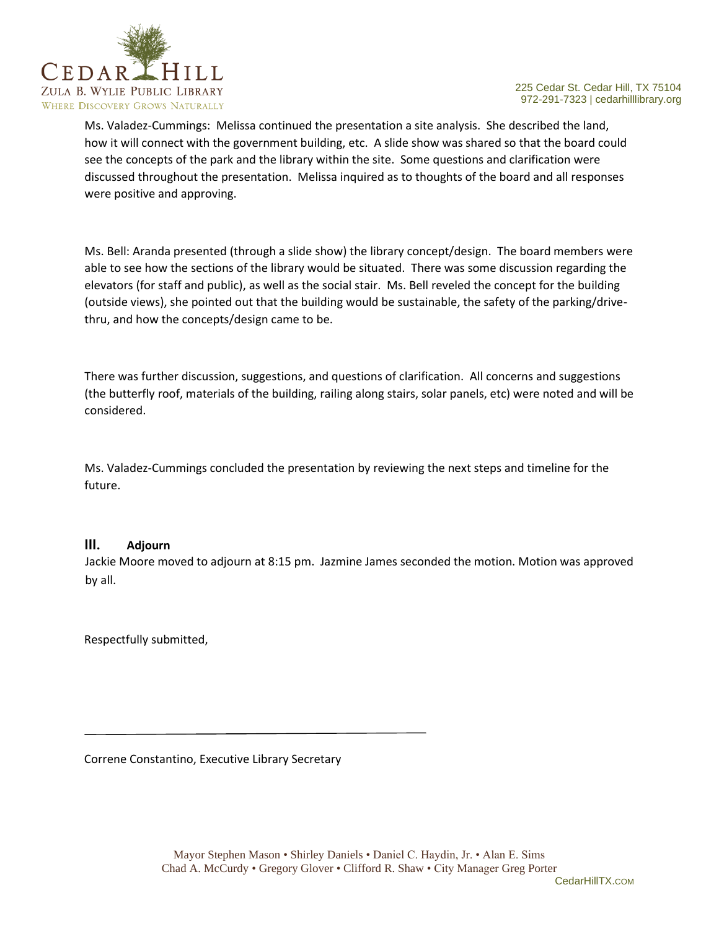

Ms. Valadez-Cummings: Melissa continued the presentation a site analysis. She described the land, how it will connect with the government building, etc. A slide show was shared so that the board could see the concepts of the park and the library within the site. Some questions and clarification were discussed throughout the presentation. Melissa inquired as to thoughts of the board and all responses were positive and approving.

Ms. Bell: Aranda presented (through a slide show) the library concept/design. The board members were able to see how the sections of the library would be situated. There was some discussion regarding the elevators (for staff and public), as well as the social stair. Ms. Bell reveled the concept for the building (outside views), she pointed out that the building would be sustainable, the safety of the parking/drivethru, and how the concepts/design came to be.

There was further discussion, suggestions, and questions of clarification. All concerns and suggestions (the butterfly roof, materials of the building, railing along stairs, solar panels, etc) were noted and will be considered.

Ms. Valadez-Cummings concluded the presentation by reviewing the next steps and timeline for the future.

## **III. Adjourn**

Jackie Moore moved to adjourn at 8:15 pm. Jazmine James seconded the motion. Motion was approved by all.

Respectfully submitted,

Correne Constantino, Executive Library Secretary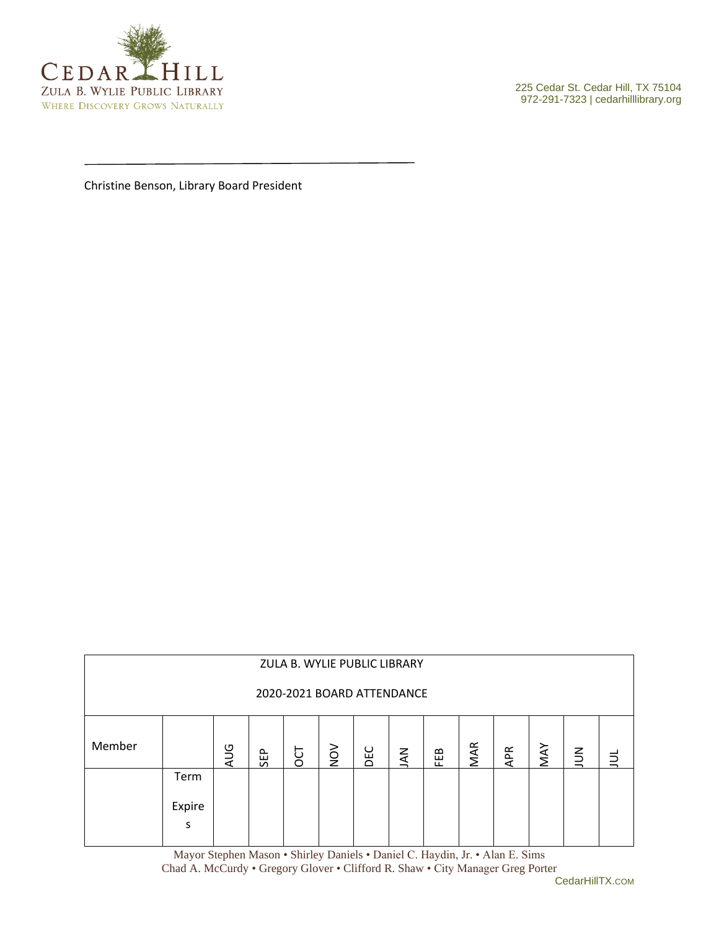

972-291-7323 | cedarhilllibrary.org

Christine Benson, Library Board President

| ZULA B. WYLIE PUBLIC LIBRARY |             |            |     |   |        |     |            |     |     |            |     |        |  |
|------------------------------|-------------|------------|-----|---|--------|-----|------------|-----|-----|------------|-----|--------|--|
| 2020-2021 BOARD ATTENDANCE   |             |            |     |   |        |     |            |     |     |            |     |        |  |
| Member                       |             | <b>AUG</b> | SEP | ö | $\geq$ | DEC | <b>NAL</b> | FEB | MAR | <b>APR</b> | MAY | $\leq$ |  |
|                              | Term        |            |     |   |        |     |            |     |     |            |     |        |  |
|                              | Expire<br>s |            |     |   |        |     |            |     |     |            |     |        |  |

Mayor Stephen Mason • Shirley Daniels • Daniel C. Haydin, Jr. • Alan E. Sims Chad A. McCurdy • Gregory Glover • Clifford R. Shaw • City Manager Greg Porter